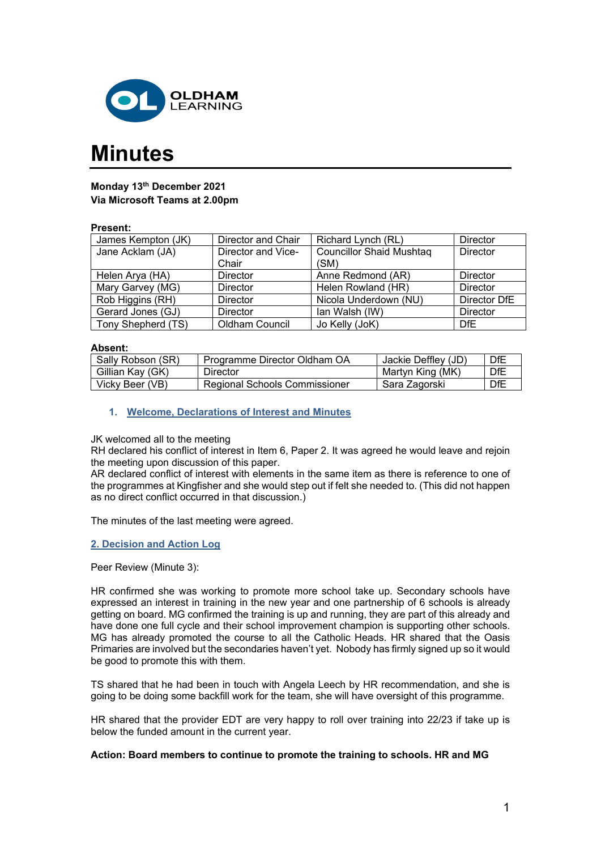

# **Minutes**

# **Monday 13th December 2021 Via Microsoft Teams at 2.00pm**

## **Present:**

| James Kempton (JK) | Director and Chair    | Richard Lynch (RL)              | Director        |
|--------------------|-----------------------|---------------------------------|-----------------|
| Jane Acklam (JA)   | Director and Vice-    | <b>Councillor Shaid Mushtag</b> | Director        |
|                    | Chair                 | (SM)                            |                 |
| Helen Arya (HA)    | <b>Director</b>       | Anne Redmond (AR)               | Director        |
| Mary Garvey (MG)   | Director              | Helen Rowland (HR)              | <b>Director</b> |
| Rob Higgins (RH)   | Director              | Nicola Underdown (NU)           | Director DfE    |
| Gerard Jones (GJ)  | <b>Director</b>       | lan Walsh (IW)                  | Director        |
| Tony Shepherd (TS) | <b>Oldham Council</b> | Jo Kelly (JoK)                  | DfE             |

#### **Absent:**

| Sally Robson (SR) | Programme Director Oldham OA  | Jackie Deffley (JD) | DfE |
|-------------------|-------------------------------|---------------------|-----|
| Gillian Kay (GK)  | Director                      | Martyn King (MK)    | DfE |
| Vicky Beer (VB)   | Regional Schools Commissioner | Sara Zagorski       | DFE |

## **1. Welcome, Declarations of Interest and Minutes**

#### JK welcomed all to the meeting

RH declared his conflict of interest in Item 6, Paper 2. It was agreed he would leave and rejoin the meeting upon discussion of this paper.

AR declared conflict of interest with elements in the same item as there is reference to one of the programmes at Kingfisher and she would step out if felt she needed to. (This did not happen as no direct conflict occurred in that discussion.)

The minutes of the last meeting were agreed.

#### **2. Decision and Action Log**

#### Peer Review (Minute 3):

HR confirmed she was working to promote more school take up. Secondary schools have expressed an interest in training in the new year and one partnership of 6 schools is already getting on board. MG confirmed the training is up and running, they are part of this already and have done one full cycle and their school improvement champion is supporting other schools. MG has already promoted the course to all the Catholic Heads. HR shared that the Oasis Primaries are involved but the secondaries haven't yet. Nobody has firmly signed up so it would be good to promote this with them.

TS shared that he had been in touch with Angela Leech by HR recommendation, and she is going to be doing some backfill work for the team, she will have oversight of this programme.

HR shared that the provider EDT are very happy to roll over training into 22/23 if take up is below the funded amount in the current year.

#### **Action: Board members to continue to promote the training to schools. HR and MG**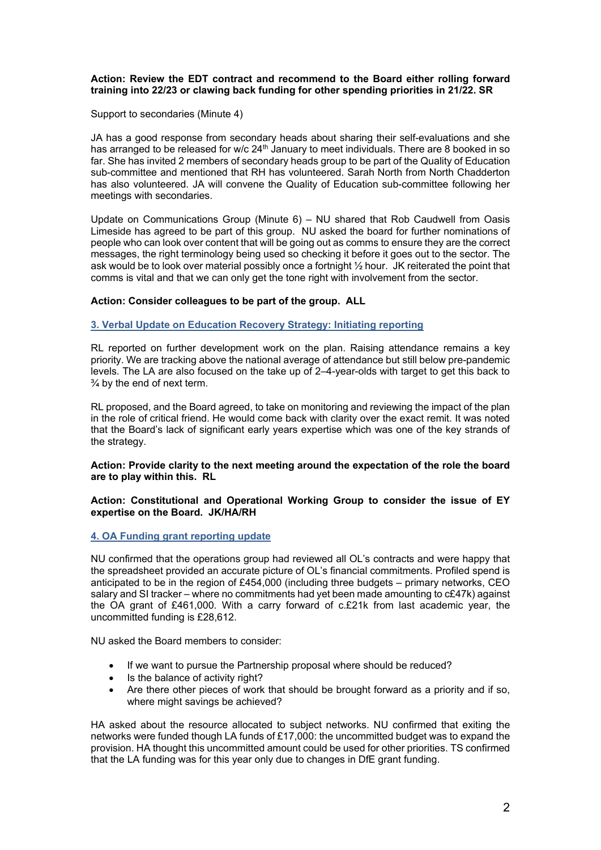## **Action: Review the EDT contract and recommend to the Board either rolling forward training into 22/23 or clawing back funding for other spending priorities in 21/22. SR**

Support to secondaries (Minute 4)

JA has a good response from secondary heads about sharing their self-evaluations and she has arranged to be released for w/c 24<sup>th</sup> January to meet individuals. There are 8 booked in so far. She has invited 2 members of secondary heads group to be part of the Quality of Education sub-committee and mentioned that RH has volunteered. Sarah North from North Chadderton has also volunteered. JA will convene the Quality of Education sub-committee following her meetings with secondaries.

Update on Communications Group (Minute 6) – NU shared that Rob Caudwell from Oasis Limeside has agreed to be part of this group. NU asked the board for further nominations of people who can look over content that will be going out as comms to ensure they are the correct messages, the right terminology being used so checking it before it goes out to the sector. The ask would be to look over material possibly once a fortnight ½ hour. JK reiterated the point that comms is vital and that we can only get the tone right with involvement from the sector.

# **Action: Consider colleagues to be part of the group. ALL**

## **3. Verbal Update on Education Recovery Strategy: Initiating reporting**

RL reported on further development work on the plan. Raising attendance remains a key priority. We are tracking above the national average of attendance but still below pre-pandemic levels. The LA are also focused on the take up of 2–4-year-olds with target to get this back to  $\frac{3}{4}$  by the end of next term.

RL proposed, and the Board agreed, to take on monitoring and reviewing the impact of the plan in the role of critical friend. He would come back with clarity over the exact remit. It was noted that the Board's lack of significant early years expertise which was one of the key strands of the strategy.

#### **Action: Provide clarity to the next meeting around the expectation of the role the board are to play within this. RL**

#### **Action: Constitutional and Operational Working Group to consider the issue of EY expertise on the Board. JK/HA/RH**

# **4. OA Funding grant reporting update**

NU confirmed that the operations group had reviewed all OL's contracts and were happy that the spreadsheet provided an accurate picture of OL's financial commitments. Profiled spend is anticipated to be in the region of £454,000 (including three budgets – primary networks, CEO salary and SI tracker – where no commitments had yet been made amounting to c£47k) against the OA grant of £461,000. With a carry forward of c.£21k from last academic year, the uncommitted funding is £28,612.

NU asked the Board members to consider:

- If we want to pursue the Partnership proposal where should be reduced?
- Is the balance of activity right?
- Are there other pieces of work that should be brought forward as a priority and if so, where might savings be achieved?

HA asked about the resource allocated to subject networks. NU confirmed that exiting the networks were funded though LA funds of £17,000: the uncommitted budget was to expand the provision. HA thought this uncommitted amount could be used for other priorities. TS confirmed that the LA funding was for this year only due to changes in DfE grant funding.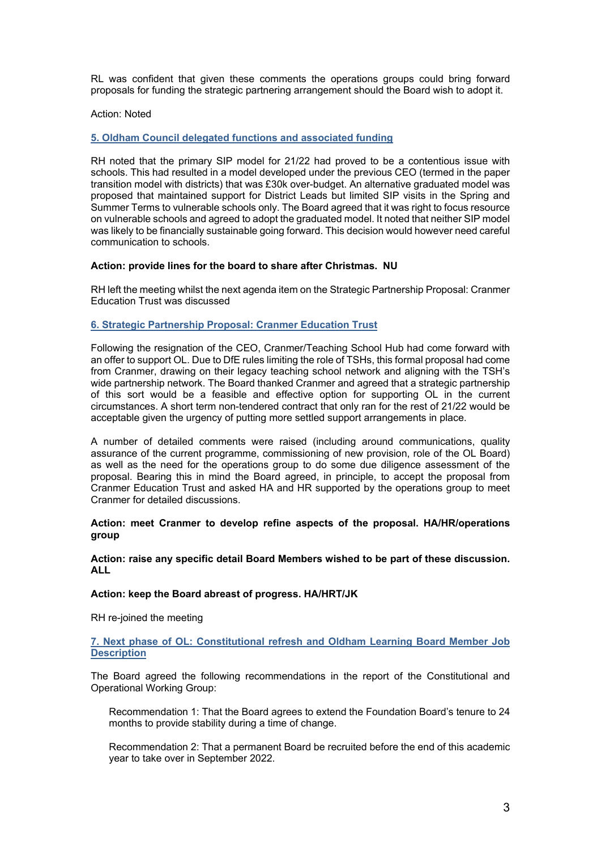RL was confident that given these comments the operations groups could bring forward proposals for funding the strategic partnering arrangement should the Board wish to adopt it.

#### Action: Noted

## **5. Oldham Council delegated functions and associated funding**

RH noted that the primary SIP model for 21/22 had proved to be a contentious issue with schools. This had resulted in a model developed under the previous CEO (termed in the paper transition model with districts) that was £30k over-budget. An alternative graduated model was proposed that maintained support for District Leads but limited SIP visits in the Spring and Summer Terms to vulnerable schools only. The Board agreed that it was right to focus resource on vulnerable schools and agreed to adopt the graduated model. It noted that neither SIP model was likely to be financially sustainable going forward. This decision would however need careful communication to schools.

#### **Action: provide lines for the board to share after Christmas. NU**

RH left the meeting whilst the next agenda item on the Strategic Partnership Proposal: Cranmer Education Trust was discussed

## **6. Strategic Partnership Proposal: Cranmer Education Trust**

Following the resignation of the CEO, Cranmer/Teaching School Hub had come forward with an offer to support OL. Due to DfE rules limiting the role of TSHs, this formal proposal had come from Cranmer, drawing on their legacy teaching school network and aligning with the TSH's wide partnership network. The Board thanked Cranmer and agreed that a strategic partnership of this sort would be a feasible and effective option for supporting OL in the current circumstances. A short term non-tendered contract that only ran for the rest of 21/22 would be acceptable given the urgency of putting more settled support arrangements in place.

A number of detailed comments were raised (including around communications, quality assurance of the current programme, commissioning of new provision, role of the OL Board) as well as the need for the operations group to do some due diligence assessment of the proposal. Bearing this in mind the Board agreed, in principle, to accept the proposal from Cranmer Education Trust and asked HA and HR supported by the operations group to meet Cranmer for detailed discussions.

#### **Action: meet Cranmer to develop refine aspects of the proposal. HA/HR/operations group**

#### **Action: raise any specific detail Board Members wished to be part of these discussion. ALL**

#### **Action: keep the Board abreast of progress. HA/HRT/JK**

RH re-joined the meeting

# **7. Next phase of OL: Constitutional refresh and Oldham Learning Board Member Job Description**

The Board agreed the following recommendations in the report of the Constitutional and Operational Working Group:

Recommendation 1: That the Board agrees to extend the Foundation Board's tenure to 24 months to provide stability during a time of change.

Recommendation 2: That a permanent Board be recruited before the end of this academic year to take over in September 2022.